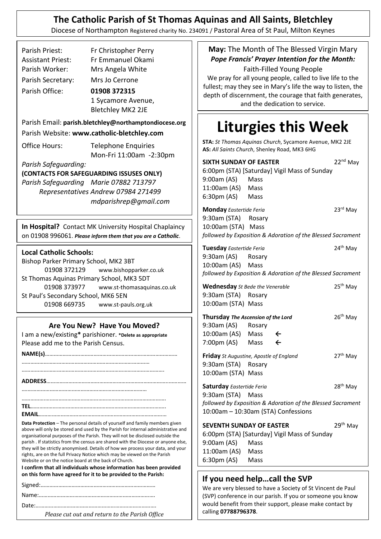## **The Catholic Parish of St Thomas Aquinas and All Saints, Bletchley**

Diocese of Northampton Registered charity No. 234091 / Pastoral Area of St Paul, Milton Keynes

| Parish Priest:                                        | Fr Christopher Perry                                                               |  |
|-------------------------------------------------------|------------------------------------------------------------------------------------|--|
| <b>Assistant Priest:</b>                              | Fr Emmanuel Okami                                                                  |  |
| Parish Worker:                                        | Mrs Angela White                                                                   |  |
| Parish Secretary:                                     | Mrs Jo Cerrone                                                                     |  |
| Parish Office:                                        | 01908 372315                                                                       |  |
|                                                       | 1 Sycamore Avenue,                                                                 |  |
|                                                       | <b>Bletchley MK2 2JE</b>                                                           |  |
|                                                       |                                                                                    |  |
| Parish Email: parish.bletchley@northamptondiocese.org |                                                                                    |  |
|                                                       | Parish Website: www.catholic-bletchley.com                                         |  |
| Office Hours:                                         | <b>Telephone Enquiries</b>                                                         |  |
|                                                       | Mon-Fri 11:00am -2:30pm                                                            |  |
| Parish Safeguarding:                                  |                                                                                    |  |
|                                                       | (CONTACTS FOR SAFEGUARDING ISSUSES ONLY)<br>Parish Safeguarding Marie 07882 713797 |  |
|                                                       | Representatives Andrew 07984 271499                                                |  |
|                                                       | mdparishrep@gmail.com                                                              |  |
|                                                       |                                                                                    |  |
|                                                       |                                                                                    |  |
|                                                       |                                                                                    |  |
|                                                       | In Hospital? Contact MK University Hospital Chaplaincy                             |  |
|                                                       | on 01908 996061. Please inform them that you are a Catholic.                       |  |
| <b>Local Catholic Schools:</b>                        |                                                                                    |  |
| Bishop Parker Primary School, MK2 3BT                 |                                                                                    |  |
| 01908 372129                                          | www.bishopparker.co.uk                                                             |  |
| St Thomas Aquinas Primary School, MK3 5DT             |                                                                                    |  |
| 01908 373977                                          | www.st-thomasaquinas.co.uk                                                         |  |
| St Paul's Secondary School, MK6 5EN                   |                                                                                    |  |
| 01908 669735                                          | www.st-pauls.org.uk                                                                |  |
|                                                       | Are You New? Have You Moved?                                                       |  |
|                                                       | I am a new/existing* parishioner. *Delete as appropriate                           |  |
| Please add me to the Parish Census.                   |                                                                                    |  |
|                                                       |                                                                                    |  |
|                                                       |                                                                                    |  |
|                                                       |                                                                                    |  |

…………….………………………………………………………………………. **TEL**……………………………………………………………………………….. **EMAIL**……………………………………………………………………………

….………………………………………………………………………

**Data Protection** – The personal details of yourself and family members given above will only be stored and used by the Parish for internal administrative and organisational purposes of the Parish. They will not be disclosed outside the parish . If statistics from the census are shared with the Diocese or anyone else, they will be strictly anonymised. Details of how we process your data, and your rights, are on the full Privacy Notice which may be viewed on the Parish Website or on the notice board at the back of Church.

**I confirm that all individuals whose information has been provided on this form have agreed for it to be provided to the Parish:**

Date:……………………………………………………………………….

*Please cut out and return to the Parish Office*

**May:** The Month of The Blessed Virgin Mary *Pope Francis' Prayer Intention for the Month:*

Faith-Filled Young People We pray for all young people, called to live life to the fullest; may they see in Mary's life the way to listen, the depth of discernment, the courage that faith generates, and the dedication to service.

# **Liturgies this Week**

**STA:** *St Thomas Aquinas Church*, Sycamore Avenue, MK2 2JE **AS:** *All Saints Church*, Shenley Road, MK3 6HG

| <b>SIXTH SUNDAY OF EASTER</b>                               | 22 <sup>nd</sup> May |  |  |
|-------------------------------------------------------------|----------------------|--|--|
| 6:00pm (STA) [Saturday] Vigil Mass of Sunday                |                      |  |  |
| 9:00am (AS) Mass                                            |                      |  |  |
| 11:00am (AS) Mass                                           |                      |  |  |
| 6:30pm (AS) Mass                                            |                      |  |  |
|                                                             |                      |  |  |
| <b>Monday</b> Eastertide Feria                              | 23rd May             |  |  |
| 9:30am (STA) Rosary                                         |                      |  |  |
| 10:00am (STA) Mass                                          |                      |  |  |
| followed by Exposition & Adoration of the Blessed Sacrament |                      |  |  |
| Tuesday Eastertide Feria                                    | 24 <sup>th</sup> May |  |  |
| 9:30am (AS) Rosary                                          |                      |  |  |
| 10:00am (AS) Mass                                           |                      |  |  |
| followed by Exposition & Adoration of the Blessed Sacrament |                      |  |  |
| 25 <sup>th</sup> May                                        |                      |  |  |
| <b>Wednesday</b> St Bede the Venerable                      |                      |  |  |
| 9:30am (STA) Rosary                                         |                      |  |  |
| 10:00am (STA) Mass                                          |                      |  |  |
| Thursday The Ascension of the Lord                          | 26 <sup>th</sup> May |  |  |
| 9:30am (AS) Rosary                                          |                      |  |  |
| 10:00am (AS) Mass<br>$\leftarrow$                           |                      |  |  |
| 7:00pm (AS) Mass $\leftarrow$                               |                      |  |  |
|                                                             |                      |  |  |
| Friday St Augustine, Apostle of England                     | 27 <sup>th</sup> May |  |  |
| 9:30am (STA) Rosary                                         |                      |  |  |
| 10:00am (STA) Mass                                          |                      |  |  |
| <b>Saturday</b> Eastertide Feria                            | 28 <sup>th</sup> May |  |  |
| 9:30am (STA) Mass                                           |                      |  |  |
| followed by Exposition & Adoration of the Blessed Sacrament |                      |  |  |
| 10:00am - 10:30am (STA) Confessions                         |                      |  |  |
|                                                             |                      |  |  |
| <b>SEVENTH SUNDAY OF EASTER</b>                             | 29 <sup>th</sup> May |  |  |
| 6:00pm (STA) [Saturday] Vigil Mass of Sunday                |                      |  |  |
| 9:00am (AS) Mass                                            |                      |  |  |
| 11:00am (AS) Mass                                           |                      |  |  |
| 6:30pm (AS) Mass                                            |                      |  |  |
|                                                             |                      |  |  |
|                                                             |                      |  |  |

### **If you need help…call the SVP**

.

We are very blessed to have a Society of St Vincent de Paul (SVP) conference in our parish. If you or someone you know would benefit from their support, please make contact by calling **07788796378**.